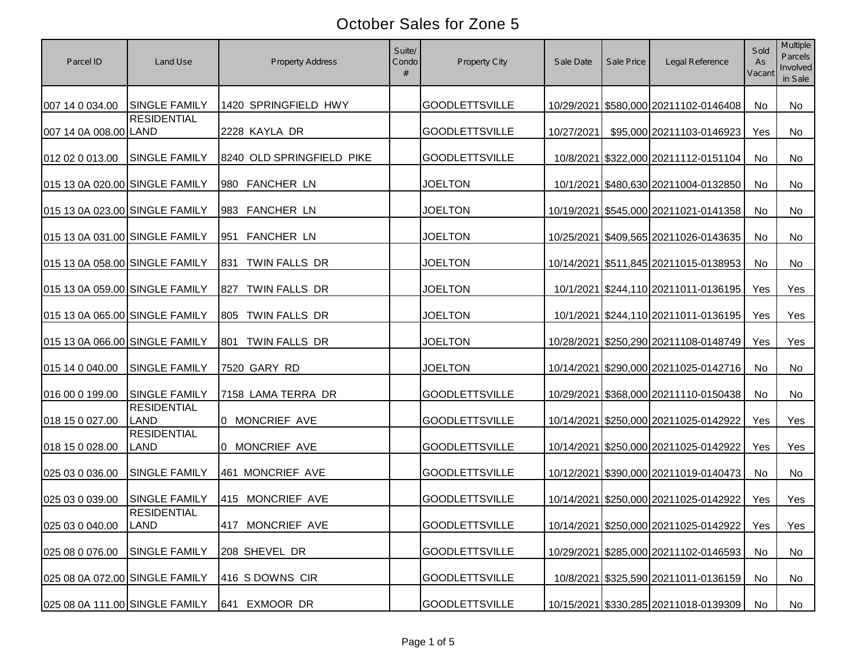| Parcel ID                      | Land Use                          | <b>Property Address</b>   | Suite/<br>Condo | Property City         | Sale Date  | Sale Price | Legal Reference                           | Sold<br>As<br>Vacant | Multiple<br>Parcels<br>Involved<br>in Sale |
|--------------------------------|-----------------------------------|---------------------------|-----------------|-----------------------|------------|------------|-------------------------------------------|----------------------|--------------------------------------------|
| 007 14 0 034.00                | <b>SINGLE FAMILY</b>              | 1420 SPRINGFIELD HWY      |                 | <b>GOODLETTSVILLE</b> |            |            | 10/29/2021 \$580,000 20211102-0146408     | No                   | No                                         |
| 007 14 0A 008.00 LAND          | <b>RESIDENTIAL</b>                | 2228 KAYLA DR             |                 | <b>GOODLETTSVILLE</b> | 10/27/2021 |            | \$95,000 20211103-0146923                 | Yes                  | No                                         |
| 012 02 0 013.00                | <b>SINGLE FAMILY</b>              | 8240 OLD SPRINGFIELD PIKE |                 | <b>GOODLETTSVILLE</b> |            |            | 10/8/2021 \$322,000 20211112-0151104      | No                   | No                                         |
| 015 13 0A 020.00 SINGLE FAMILY |                                   | 980 FANCHER LN            |                 | <b>JOELTON</b>        |            |            | 10/1/2021 \$480,630 20211004-0132850      | No                   | No                                         |
| 015 13 0A 023.00 SINGLE FAMILY |                                   | 983 FANCHER LN            |                 | <b>JOELTON</b>        |            |            | 10/19/2021 \$545,000 20211021-0141358     | No                   | No                                         |
| 015 13 0A 031.00 SINGLE FAMILY |                                   | <b>FANCHER LN</b><br>951  |                 | <b>JOELTON</b>        |            |            | 10/25/2021 \$409,565 20211026-0143635     | No                   | No                                         |
| 015 13 0A 058.00 SINGLE FAMILY |                                   | TWIN FALLS DR<br>831      |                 | <b>JOELTON</b>        |            |            | 10/14/2021 \$511,845 20211015-0138953     | No                   | No                                         |
| 015 13 0A 059.00 SINGLE FAMILY |                                   | TWIN FALLS DR<br>827      |                 | <b>JOELTON</b>        |            |            | 10/1/2021 \$244,110 20211011-0136195      | Yes                  | Yes                                        |
| 015 13 0A 065.00 SINGLE FAMILY |                                   | TWIN FALLS DR<br>805      |                 | <b>JOELTON</b>        |            |            | 10/1/2021 \$244,110 20211011-0136195      | Yes                  | Yes                                        |
| 015 13 0A 066.00 SINGLE FAMILY |                                   | TWIN FALLS DR<br>801      |                 | <b>JOELTON</b>        |            |            | 10/28/2021 \$250,290 20211108-0148749     | Yes                  | Yes                                        |
| 015 14 0 040.00                | <b>SINGLE FAMILY</b>              | 7520 GARY RD              |                 | <b>JOELTON</b>        |            |            | 10/14/2021 \$290,000 20211025-0142716     | No                   | No                                         |
| 016 00 0 199.00                | <b>SINGLE FAMILY</b>              | 7158 LAMA TERRA DR        |                 | <b>GOODLETTSVILLE</b> |            |            | 10/29/2021 \$368,000 20211110-0150438     | No                   | No                                         |
| 018 15 0 027.00                | <b>RESIDENTIAL</b><br><b>LAND</b> | 0 MONCRIEF AVE            |                 | <b>GOODLETTSVILLE</b> |            |            | 10/14/2021 \$250,000 20211025-0142922     | Yes                  | Yes                                        |
| 018 15 0 028.00                | <b>RESIDENTIAL</b><br>LAND        | 0 MONCRIEF AVE            |                 | <b>GOODLETTSVILLE</b> |            |            | 10/14/2021 \$250,000 20211025-0142922     | Yes                  | Yes                                        |
| 025 03 0 036.00                | <b>SINGLE FAMILY</b>              | 461 MONCRIEF AVE          |                 | <b>GOODLETTSVILLE</b> |            |            | 10/12/2021 \$390,000 20211019-0140473     | No                   | No                                         |
| 025 03 0 039.00                | <b>SINGLE FAMILY</b>              | 415 MONCRIEF AVE          |                 | <b>GOODLETTSVILLE</b> |            |            | 10/14/2021 \$250,000 20211025-0142922     | Yes                  | Yes                                        |
| 025 03 0 040.00                | <b>RESIDENTIAL</b><br><b>LAND</b> | 417 MONCRIEF AVE          |                 | <b>GOODLETTSVILLE</b> |            |            | 10/14/2021 \$250,000 20211025-0142922 Yes |                      | Yes                                        |
| 025 08 0 076.00                | <b>SINGLE FAMILY</b>              | 208 SHEVEL DR             |                 | <b>GOODLETTSVILLE</b> |            |            | 10/29/2021 \$285,000 20211102-0146593     | No                   | No                                         |
| 025 08 0A 072.00 SINGLE FAMILY |                                   | 416 S DOWNS CIR           |                 | <b>GOODLETTSVILLE</b> |            |            | 10/8/2021 \$325,590 20211011-0136159      | No                   | No                                         |
| 025 08 0A 111.00 SINGLE FAMILY |                                   | EXMOOR DR<br>641          |                 | <b>GOODLETTSVILLE</b> |            |            | 10/15/2021 \$330,285 20211018-0139309     | No                   | No                                         |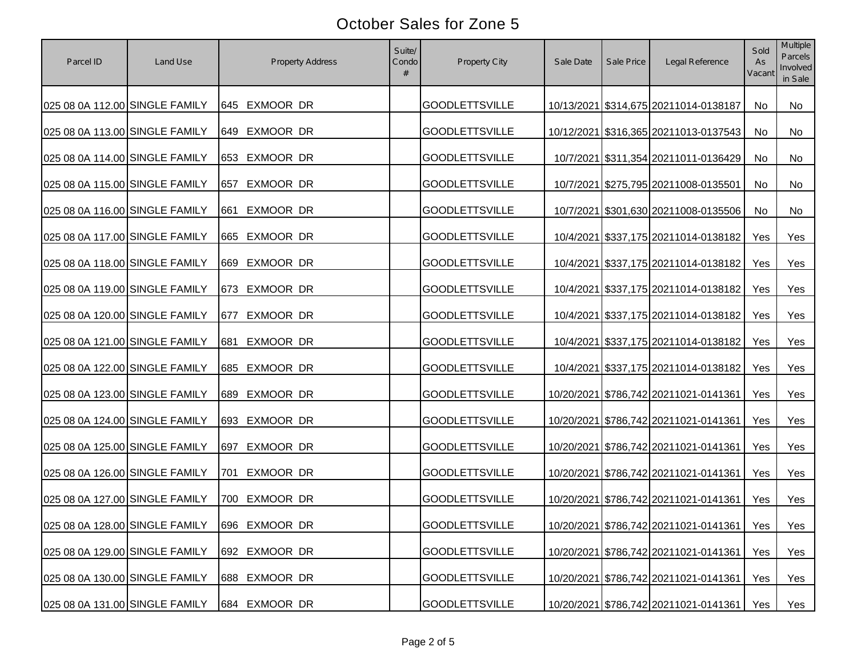| Parcel ID                      | Land Use | Property Address | Suite/<br>Condo | Property City         | Sale Date | Sale Price | Legal Reference                             | Sold<br>As<br>Vacant | Multiple<br><b>Parcels</b><br>Involved<br>in Sale |
|--------------------------------|----------|------------------|-----------------|-----------------------|-----------|------------|---------------------------------------------|----------------------|---------------------------------------------------|
| 025 08 0A 112.00 SINGLE FAMILY |          | 645 EXMOOR DR    |                 | <b>GOODLETTSVILLE</b> |           |            | 10/13/2021 \$314,675 20211014-0138187       | No                   | No                                                |
| 025 08 0A 113.00 SINGLE FAMILY |          | 649 EXMOOR DR    |                 | <b>GOODLETTSVILLE</b> |           |            | 10/12/2021 \$316,365 20211013-0137543       | No                   | No                                                |
| 025 08 0A 114.00 SINGLE FAMILY |          | 653 EXMOOR DR    |                 | <b>GOODLETTSVILLE</b> |           |            | 10/7/2021 \$311,354 20211011-0136429        | No                   | No                                                |
| 025 08 0A 115.00 SINGLE FAMILY |          | EXMOOR DR<br>657 |                 | <b>GOODLETTSVILLE</b> |           |            | 10/7/2021 \$275,795 20211008-0135501        | No                   | No                                                |
| 025 08 0A 116.00 SINGLE FAMILY |          | EXMOOR DR<br>661 |                 | <b>GOODLETTSVILLE</b> |           |            | 10/7/2021 \$301,630 20211008-0135506        | No                   | No                                                |
| 025 08 0A 117.00 SINGLE FAMILY |          | 665 EXMOOR DR    |                 | <b>GOODLETTSVILLE</b> |           |            | 10/4/2021 \$337,175 20211014-0138182        | Yes                  | Yes                                               |
| 025 08 0A 118.00 SINGLE FAMILY |          | 669 EXMOOR DR    |                 | <b>GOODLETTSVILLE</b> |           |            | 10/4/2021 \$337,175 20211014-0138182        | Yes                  | Yes                                               |
| 025 08 0A 119.00 SINGLE FAMILY |          | 673 EXMOOR DR    |                 | <b>GOODLETTSVILLE</b> |           |            | 10/4/2021 \$337,175 20211014-0138182        | Yes                  | Yes                                               |
| 025 08 0A 120.00 SINGLE FAMILY |          | EXMOOR DR<br>677 |                 | <b>GOODLETTSVILLE</b> |           |            | 10/4/2021 \$337,175 20211014-0138182        | Yes                  | Yes                                               |
| 025 08 0A 121.00 SINGLE FAMILY |          | EXMOOR DR<br>681 |                 | <b>GOODLETTSVILLE</b> |           |            | 10/4/2021 \$337,175 20211014-0138182        | Yes                  | Yes                                               |
| 025 08 0A 122.00 SINGLE FAMILY |          | EXMOOR DR<br>685 |                 | <b>GOODLETTSVILLE</b> |           |            | 10/4/2021 \$337,175 20211014-0138182        | Yes                  | Yes                                               |
| 025 08 0A 123.00 SINGLE FAMILY |          | EXMOOR DR<br>689 |                 | <b>GOODLETTSVILLE</b> |           |            | 10/20/2021 \$786,742 20211021-0141361       | Yes                  | Yes                                               |
| 025 08 0A 124.00 SINGLE FAMILY |          | 693 EXMOOR DR    |                 | <b>GOODLETTSVILLE</b> |           |            | 10/20/2021 \$786,742 20211021-0141361       | Yes                  | Yes                                               |
| 025 08 0A 125.00 SINGLE FAMILY |          | EXMOOR DR<br>697 |                 | <b>GOODLETTSVILLE</b> |           |            | 10/20/2021 \$786,742 20211021-0141361       | Yes                  | Yes                                               |
| 025 08 0A 126.00 SINGLE FAMILY |          | EXMOOR DR<br>701 |                 | <b>GOODLETTSVILLE</b> |           |            | 10/20/2021 \$786,742 20211021-0141361       | Yes                  | Yes                                               |
| 025 08 0A 127.00 SINGLE FAMILY |          | EXMOOR DR<br>700 |                 | <b>GOODLETTSVILLE</b> |           |            | 10/20/2021 \$786,742 20211021-0141361       | Yes                  | Yes                                               |
| 025 08 0A 128.00 SINGLE FAMILY |          | 696 EXMOOR DR    |                 | <b>GOODLETTSVILLE</b> |           |            | 10/20/2021 \$786,742 20211021-0141361   Yes |                      | Yes                                               |
| 025 08 0A 129.00 SINGLE FAMILY |          | 692 EXMOOR DR    |                 | <b>GOODLETTSVILLE</b> |           |            | 10/20/2021 \$786,742 20211021-0141361       | Yes                  | Yes                                               |
| 025 08 0A 130.00 SINGLE FAMILY |          | EXMOOR DR<br>688 |                 | <b>GOODLETTSVILLE</b> |           |            | 10/20/2021 \$786,742 20211021-0141361       | Yes                  | Yes                                               |
| 025 08 0A 131.00 SINGLE FAMILY |          | EXMOOR DR<br>684 |                 | <b>GOODLETTSVILLE</b> |           |            | 10/20/2021 \$786,742 20211021-0141361       | Yes                  | Yes                                               |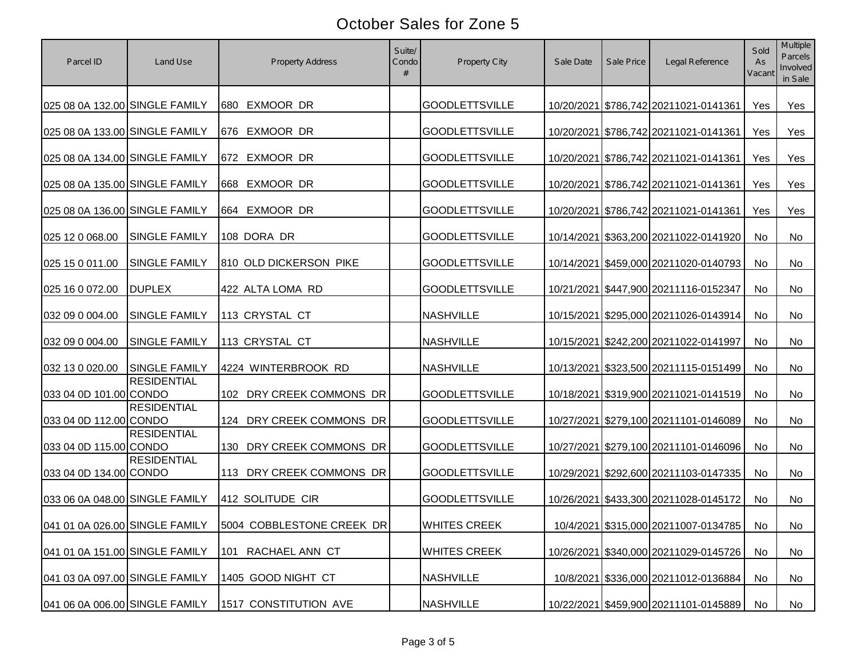| Parcel ID                      | Land Use                       | <b>Property Address</b>   | Suite/<br>Condo | Property City         | Sale Date | Sale Price | Legal Reference                         | Sold<br>As<br>Vacant | <b>Multiple</b><br><b>Parcels</b><br>Involved<br>in Sale |
|--------------------------------|--------------------------------|---------------------------|-----------------|-----------------------|-----------|------------|-----------------------------------------|----------------------|----------------------------------------------------------|
| 025 08 0A 132.00 SINGLE FAMILY |                                | 680 EXMOOR DR             |                 | <b>GOODLETTSVILLE</b> |           |            | 10/20/2021 \$786,742 20211021-0141361   | Yes                  | Yes                                                      |
| 025 08 0A 133.00 SINGLE FAMILY |                                | 676 EXMOOR DR             |                 | <b>GOODLETTSVILLE</b> |           |            | 10/20/2021 \$786,742 20211021-0141361   | Yes                  | Yes                                                      |
| 025 08 0A 134.00 SINGLE FAMILY |                                | 672 EXMOOR DR             |                 | <b>GOODLETTSVILLE</b> |           |            | 10/20/2021 \$786,742 20211021-0141361   | Yes                  | Yes                                                      |
| 025 08 0A 135.00 SINGLE FAMILY |                                | 668 EXMOOR DR             |                 | <b>GOODLETTSVILLE</b> |           |            | 10/20/2021 \$786,742 20211021-0141361   | Yes                  | Yes                                                      |
| 025 08 0A 136.00 SINGLE FAMILY |                                | 664 EXMOOR DR             |                 | <b>GOODLETTSVILLE</b> |           |            | 10/20/2021 \$786,742 20211021-0141361   | Yes                  | Yes                                                      |
| 025 12 0 068.00                | <b>SINGLE FAMILY</b>           | 108 DORA DR               |                 | <b>GOODLETTSVILLE</b> |           |            | 10/14/2021 \$363,200 20211022-0141920   | No                   | No                                                       |
| 025 15 0 011.00                | <b>SINGLE FAMILY</b>           | 810 OLD DICKERSON PIKE    |                 | <b>GOODLETTSVILLE</b> |           |            | 10/14/2021 \$459,000 20211020-0140793   | No                   | No                                                       |
| 025 16 0 072.00                | <b>DUPLEX</b>                  | 422 ALTA LOMA RD          |                 | <b>GOODLETTSVILLE</b> |           |            | 10/21/2021 \$447,900 20211116-0152347   | No                   | No                                                       |
| 032 09 0 004.00                | <b>SINGLE FAMILY</b>           | 113 CRYSTAL CT            |                 | <b>NASHVILLE</b>      |           |            | 10/15/2021 \$295,000 20211026-0143914   | No                   | No                                                       |
| 032 09 0 004.00                | <b>SINGLE FAMILY</b>           | 113 CRYSTAL CT            |                 | <b>NASHVILLE</b>      |           |            | 10/15/2021 \$242,200 20211022-0141997   | No                   | No                                                       |
| 032 13 0 020.00                | <b>SINGLE FAMILY</b>           | 4224 WINTERBROOK RD       |                 | <b>NASHVILLE</b>      |           |            | 10/13/2021 \$323,500 20211115-0151499   | No                   | No                                                       |
| 033 04 0D 101.00 CONDO         | <b>RESIDENTIAL</b>             | 102 DRY CREEK COMMONS DR  |                 | <b>GOODLETTSVILLE</b> |           |            | 10/18/2021 \$319,900 20211021-0141519   | No                   | No                                                       |
| 033 04 0D 112.00 CONDO         | <b>RESIDENTIAL</b>             | 124 DRY CREEK COMMONS DR  |                 | <b>GOODLETTSVILLE</b> |           |            | 10/27/2021 \$279,100 20211101-0146089   | No                   | No                                                       |
| 033 04 0D 115.00 CONDO         | <b>RESIDENTIAL</b>             | 130 DRY CREEK COMMONS DR  |                 | <b>GOODLETTSVILLE</b> |           |            | 10/27/2021 \$279,100 20211101-0146096   | No                   | No                                                       |
| 033 04 0D 134.00 CONDO         | <b>RESIDENTIAL</b>             | 113 DRY CREEK COMMONS DR  |                 | <b>GOODLETTSVILLE</b> |           |            | 10/29/2021 \$292,600 20211103-0147335   | No                   | No                                                       |
| 033 06 0A 048.00 SINGLE FAMILY |                                | 412 SOLITUDE CIR          |                 | <b>GOODLETTSVILLE</b> |           |            | 10/26/2021 \$433,300 20211028-0145172   | No                   | No                                                       |
|                                | 041 01 0A 026.00 SINGLE FAMILY | 5004 COBBLESTONE CREEK DR |                 | <b>WHITES CREEK</b>   |           |            | 10/4/2021 \$315,000 20211007-0134785 No |                      | No                                                       |
| 041 01 0A 151.00 SINGLE FAMILY |                                | RACHAEL ANN CT<br>101     |                 | <b>WHITES CREEK</b>   |           |            | 10/26/2021 \$340,000 20211029-0145726   | No                   | No                                                       |
| 041 03 0A 097.00 SINGLE FAMILY |                                | 1405 GOOD NIGHT CT        |                 | <b>NASHVILLE</b>      |           |            | 10/8/2021 \$336,000 20211012-0136884    | No                   | No                                                       |
| 041 06 0A 006.00 SINGLE FAMILY |                                | 1517 CONSTITUTION AVE     |                 | <b>NASHVILLE</b>      |           |            | 10/22/2021 \$459,900 20211101-0145889   | No                   | No                                                       |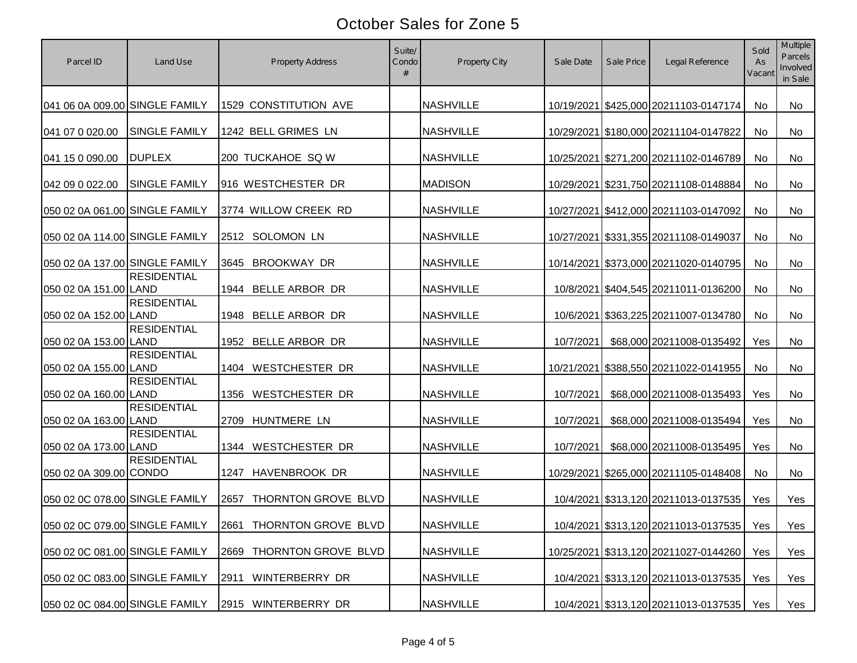| Parcel ID                      | Land Use             | <b>Property Address</b>       | Suite/<br>Condo | Property City    | Sale Date | Sale Price | Legal Reference                          | Sold<br>As<br>Vacant | Multiple<br><b>Parcels</b><br>Involved<br>in Sale |
|--------------------------------|----------------------|-------------------------------|-----------------|------------------|-----------|------------|------------------------------------------|----------------------|---------------------------------------------------|
| 041 06 0A 009.00 SINGLE FAMILY |                      | 1529 CONSTITUTION AVE         |                 | <b>NASHVILLE</b> |           |            | 10/19/2021 \$425,000 20211103-0147174    | No                   | No                                                |
| 041 07 0 020.00                | <b>SINGLE FAMILY</b> | 1242 BELL GRIMES LN           |                 | <b>NASHVILLE</b> |           |            | 10/29/2021 \$180,000 20211104-0147822    | No                   | No                                                |
| 041 15 0 090.00                | <b>DUPLEX</b>        | 200 TUCKAHOE SQ W             |                 | <b>NASHVILLE</b> |           |            | 10/25/2021 \$271,200 20211102-0146789    | No                   | No                                                |
| 042 09 0 022.00                | <b>SINGLE FAMILY</b> | 916 WESTCHESTER DR            |                 | <b>MADISON</b>   |           |            | 10/29/2021 \$231,750 20211108-0148884    | No                   | No                                                |
| 050 02 0A 061.00 SINGLE FAMILY |                      | 3774 WILLOW CREEK RD          |                 | <b>NASHVILLE</b> |           |            | 10/27/2021 \$412,000 20211103-0147092    | <b>No</b>            | No                                                |
| 050 02 0A 114.00 SINGLE FAMILY |                      | 2512 SOLOMON LN               |                 | <b>NASHVILLE</b> |           |            | 10/27/2021 \$331,355 20211108-0149037    | No                   | No                                                |
| 050 02 0A 137.00 SINGLE FAMILY |                      | BROOKWAY DR<br>3645           |                 | <b>NASHVILLE</b> |           |            | 10/14/2021 \$373,000 20211020-0140795    | No                   | No                                                |
| 050 02 0A 151.00 LAND          | <b>RESIDENTIAL</b>   | BELLE ARBOR DR<br>1944        |                 | <b>NASHVILLE</b> |           |            | 10/8/2021 \$404,545 20211011-0136200     | No                   | No                                                |
| 050 02 0A 152.00 LAND          | <b>RESIDENTIAL</b>   | BELLE ARBOR DR<br>1948        |                 | <b>NASHVILLE</b> |           |            | 10/6/2021 \$363,225 20211007-0134780     | No                   | No                                                |
| 050 02 0A 153.00 LAND          | <b>RESIDENTIAL</b>   | 1952 BELLE ARBOR DR           |                 | <b>NASHVILLE</b> | 10/7/2021 |            | \$68,000 20211008-0135492                | Yes                  | No                                                |
| 050 02 0A 155.00 LAND          | <b>RESIDENTIAL</b>   | <b>WESTCHESTER DR</b><br>1404 |                 | <b>NASHVILLE</b> |           |            | 10/21/2021 \$388,550 20211022-0141955    | No                   | No                                                |
| 050 02 0A 160.00 LAND          | <b>RESIDENTIAL</b>   | <b>WESTCHESTER DR</b><br>1356 |                 | <b>NASHVILLE</b> | 10/7/2021 |            | \$68,000 20211008-0135493                | Yes                  | No                                                |
| 050 02 0A 163.00 LAND          | <b>RESIDENTIAL</b>   | 2709 HUNTMERE LN              |                 | <b>NASHVILLE</b> | 10/7/2021 |            | \$68,000 20211008-0135494                | Yes                  | No                                                |
| 050 02 0A 173.00 LAND          | <b>RESIDENTIAL</b>   | 1344 WESTCHESTER DR           |                 | <b>NASHVILLE</b> | 10/7/2021 |            | \$68,000 20211008-0135495                | Yes                  | <b>No</b>                                         |
| 050 02 0A 309.00 CONDO         | <b>RESIDENTIAL</b>   | HAVENBROOK DR<br>1247         |                 | <b>NASHVILLE</b> |           |            | 10/29/2021 \$265,000 20211105-0148408    | No                   | No                                                |
| 050 02 0C 078.00 SINGLE FAMILY |                      | THORNTON GROVE BLVD<br>2657   |                 | <b>NASHVILLE</b> |           |            | 10/4/2021 \$313,120 20211013-0137535     | Yes                  | Yes                                               |
| 050 02 0C 079.00 SINGLE FAMILY |                      | 2661 THORNTON GROVE BLVD      |                 | NASHVILLE        |           |            | 10/4/2021 \$313,120 20211013-0137535 Yes |                      | Yes                                               |
| 050 02 0C 081.00 SINGLE FAMILY |                      | THORNTON GROVE BLVD<br>2669   |                 | <b>NASHVILLE</b> |           |            | 10/25/2021 \$313,120 20211027-0144260    | Yes                  | Yes                                               |
| 050 02 0C 083.00 SINGLE FAMILY |                      | WINTERBERRY DR<br>2911        |                 | <b>NASHVILLE</b> |           |            | 10/4/2021 \$313,120 20211013-0137535     | Yes                  | Yes                                               |
| 050 02 0C 084.00 SINGLE FAMILY |                      | 2915 WINTERBERRY DR           |                 | <b>NASHVILLE</b> |           |            | 10/4/2021 \$313,120 20211013-0137535     | Yes                  | Yes                                               |